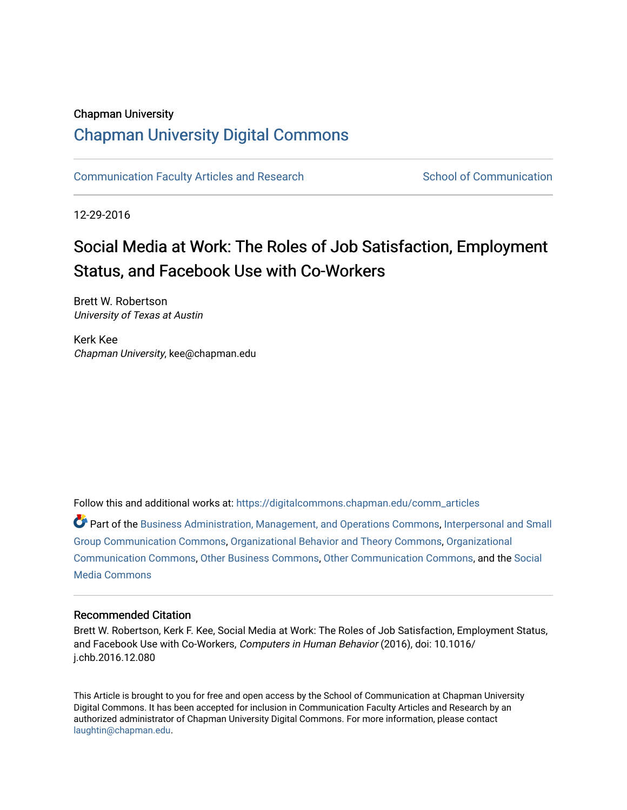#### Chapman University

## [Chapman University Digital Commons](https://digitalcommons.chapman.edu/)

[Communication Faculty Articles and Research](https://digitalcommons.chapman.edu/comm_articles) School of Communication

12-29-2016

# Social Media at Work: The Roles of Job Satisfaction, Employment Status, and Facebook Use with Co-Workers

Brett W. Robertson University of Texas at Austin

Kerk Kee Chapman University, kee@chapman.edu

Follow this and additional works at: [https://digitalcommons.chapman.edu/comm\\_articles](https://digitalcommons.chapman.edu/comm_articles?utm_source=digitalcommons.chapman.edu%2Fcomm_articles%2F28&utm_medium=PDF&utm_campaign=PDFCoverPages) 

Part of the [Business Administration, Management, and Operations Commons](https://network.bepress.com/hgg/discipline/623?utm_source=digitalcommons.chapman.edu%2Fcomm_articles%2F28&utm_medium=PDF&utm_campaign=PDFCoverPages), [Interpersonal and Small](https://network.bepress.com/hgg/discipline/332?utm_source=digitalcommons.chapman.edu%2Fcomm_articles%2F28&utm_medium=PDF&utm_campaign=PDFCoverPages) [Group Communication Commons,](https://network.bepress.com/hgg/discipline/332?utm_source=digitalcommons.chapman.edu%2Fcomm_articles%2F28&utm_medium=PDF&utm_campaign=PDFCoverPages) [Organizational Behavior and Theory Commons,](https://network.bepress.com/hgg/discipline/639?utm_source=digitalcommons.chapman.edu%2Fcomm_articles%2F28&utm_medium=PDF&utm_campaign=PDFCoverPages) [Organizational](https://network.bepress.com/hgg/discipline/335?utm_source=digitalcommons.chapman.edu%2Fcomm_articles%2F28&utm_medium=PDF&utm_campaign=PDFCoverPages) [Communication Commons](https://network.bepress.com/hgg/discipline/335?utm_source=digitalcommons.chapman.edu%2Fcomm_articles%2F28&utm_medium=PDF&utm_campaign=PDFCoverPages), [Other Business Commons,](https://network.bepress.com/hgg/discipline/647?utm_source=digitalcommons.chapman.edu%2Fcomm_articles%2F28&utm_medium=PDF&utm_campaign=PDFCoverPages) [Other Communication Commons](https://network.bepress.com/hgg/discipline/339?utm_source=digitalcommons.chapman.edu%2Fcomm_articles%2F28&utm_medium=PDF&utm_campaign=PDFCoverPages), and the [Social](https://network.bepress.com/hgg/discipline/1249?utm_source=digitalcommons.chapman.edu%2Fcomm_articles%2F28&utm_medium=PDF&utm_campaign=PDFCoverPages)  [Media Commons](https://network.bepress.com/hgg/discipline/1249?utm_source=digitalcommons.chapman.edu%2Fcomm_articles%2F28&utm_medium=PDF&utm_campaign=PDFCoverPages)

#### Recommended Citation

Brett W. Robertson, Kerk F. Kee, Social Media at Work: The Roles of Job Satisfaction, Employment Status, and Facebook Use with Co-Workers, Computers in Human Behavior (2016), doi: 10.1016/ j.chb.2016.12.080

This Article is brought to you for free and open access by the School of Communication at Chapman University Digital Commons. It has been accepted for inclusion in Communication Faculty Articles and Research by an authorized administrator of Chapman University Digital Commons. For more information, please contact [laughtin@chapman.edu.](mailto:laughtin@chapman.edu)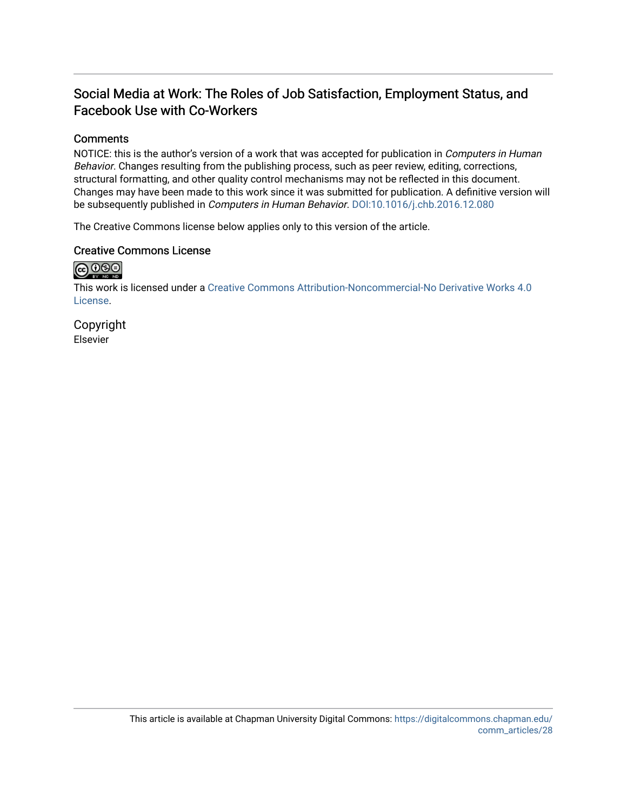## Social Media at Work: The Roles of Job Satisfaction, Employment Status, and Facebook Use with Co-Workers

#### **Comments**

NOTICE: this is the author's version of a work that was accepted for publication in *Computers in Human* Behavior. Changes resulting from the publishing process, such as peer review, editing, corrections, structural formatting, and other quality control mechanisms may not be reflected in this document. Changes may have been made to this work since it was submitted for publication. A definitive version will be subsequently published in Computers in Human Behavior. [DOI:10.1016/j.chb.2016.12.080](http://dx.doi.org/10.1016/j.chb.2016.12.080) 

The Creative Commons license below applies only to this version of the article.

#### Creative Commons License



This work is licensed under a [Creative Commons Attribution-Noncommercial-No Derivative Works 4.0](https://creativecommons.org/licenses/by-nc-nd/4.0/) [License](https://creativecommons.org/licenses/by-nc-nd/4.0/).

Copyright Elsevier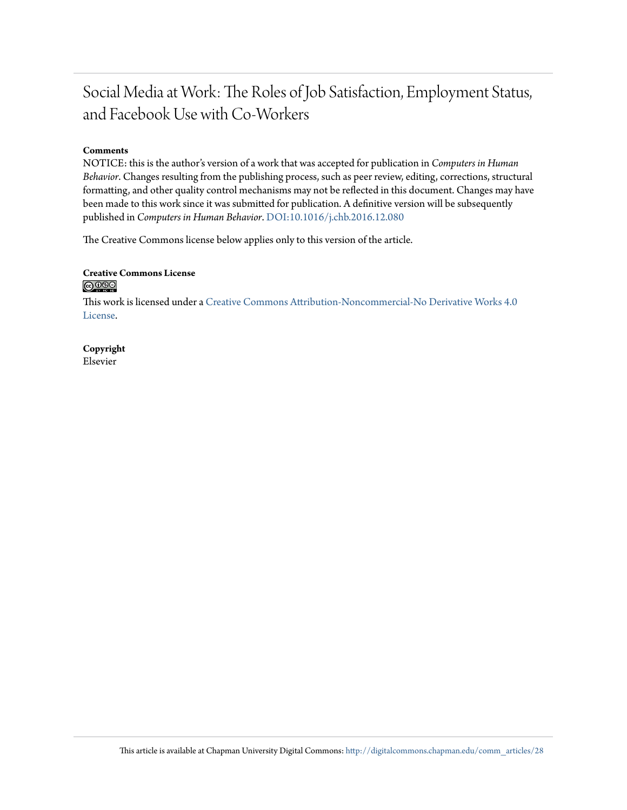# Social Media at Work: The Roles of Job Satisfaction, Employment Status, and Facebook Use with Co-Workers

#### **Comments**

NOTICE: this is the author's version of a work that was accepted for publication in *Computers in Human Behavior*. Changes resulting from the publishing process, such as peer review, editing, corrections, structural formatting, and other quality control mechanisms may not be reflected in this document. Changes may have been made to this work since it was submitted for publication. A definitive version will be subsequently published in *Computers in Human Behavior*. [DOI:10.1016/j.chb.2016.12.080](http://dx.doi.org/10.1016/j.chb.2016.12.080)

The Creative Commons license below applies only to this version of the article.

#### **Creative Commons License**  $\bigcirc$   $\circ$

This work is licensed under a [Creative Commons Attribution-Noncommercial-No Derivative Works 4.0](http://creativecommons.org/licenses/by-nc-nd/4.0/) [License.](http://creativecommons.org/licenses/by-nc-nd/4.0/)

#### **Copyright** Elsevier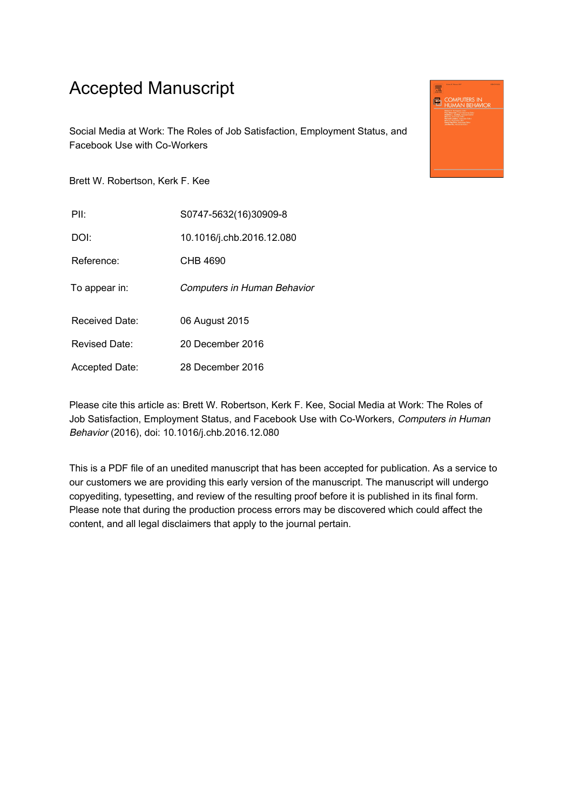# Accepted Manuscript

Social Media at Work: The Roles of Job Satisfaction, Employment Status, and Facebook Use with Co-Workers

Brett W. Robertson, Kerk F. Kee

| PII:          | S0747-5632(16)30909-8       |
|---------------|-----------------------------|
| DOI:          | 10.1016/j.chb.2016.12.080   |
| Reference:    | CHB 4690                    |
| To appear in: | Computers in Human Behavior |

Received Date: 06 August 2015

Revised Date: 20 December 2016

Accepted Date: 28 December 2016

Please cite this article as: Brett W. Robertson, Kerk F. Kee, Social Media at Work: The Roles of Job Satisfaction, Employment Status, and Facebook Use with Co-Workers, Computers in Human Behavior (2016), doi: 10.1016/j.chb.2016.12.080

This is a PDF file of an unedited manuscript that has been accepted for publication. As a service to our customers we are providing this early version of the manuscript. The manuscript will undergo copyediting, typesetting, and review of the resulting proof before it is published in its final form. Please note that during the production process errors may be discovered which could affect the content, and all legal disclaimers that apply to the journal pertain.

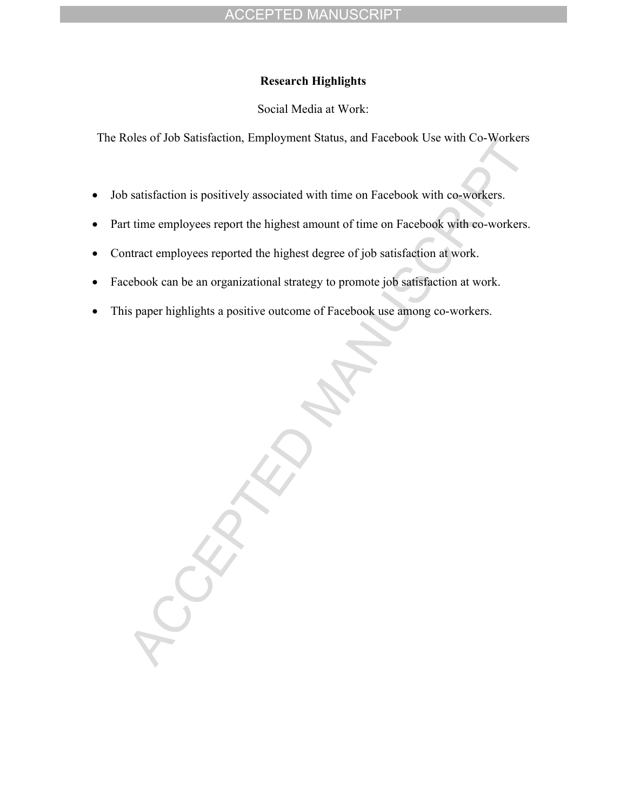### **Research Highlights**

Social Media at Work:

The Roles of Job Satisfaction, Employment Status, and Facebook Use with Co-Workers

- Job satisfaction is positively associated with time on Facebook with co-workers.
- Part time employees report the highest amount of time on Facebook with co-workers.
- Contract employees reported the highest degree of job satisfaction at work.
- Facebook can be an organizational strategy to promote job satisfaction at work.
- This paper highlights a positive outcome of Facebook use among co-workers.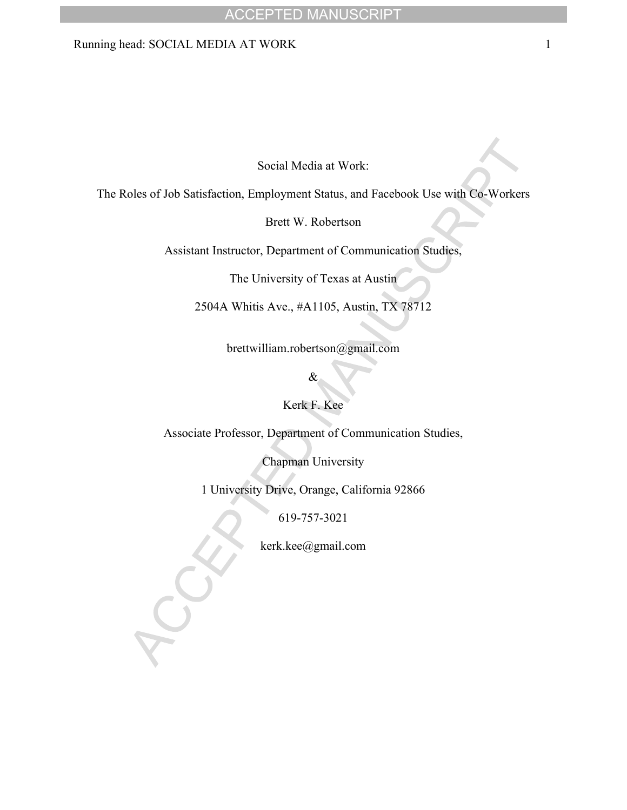### Running head: SOCIAL MEDIA AT WORK 1

Social Media at Work:

The Roles of Job Satisfaction, Employment Status, and Facebook Use with Co-Workers

Brett W. Robertson

Assistant Instructor, Department of Communication Studies,

The University of Texas at Austin

2504A Whitis Ave., #A1105, Austin, TX 78712

brettwilliam.robertson@gmail.com

&

Kerk F. Kee

Associate Professor, Department of Communication Studies,

Chapman University

1 University Drive, Orange, California 92866

619-757-3021

kerk.kee@gmail.com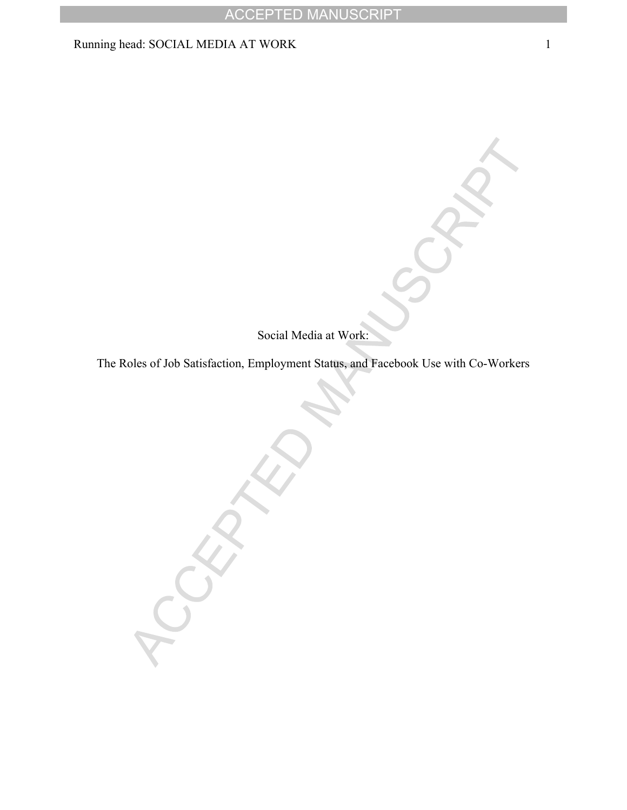### Running head: SOCIAL MEDIA AT WORK 1

Social Media at Work:

The Roles of Job Satisfaction, Employment Status, and Facebook Use with Co-Workers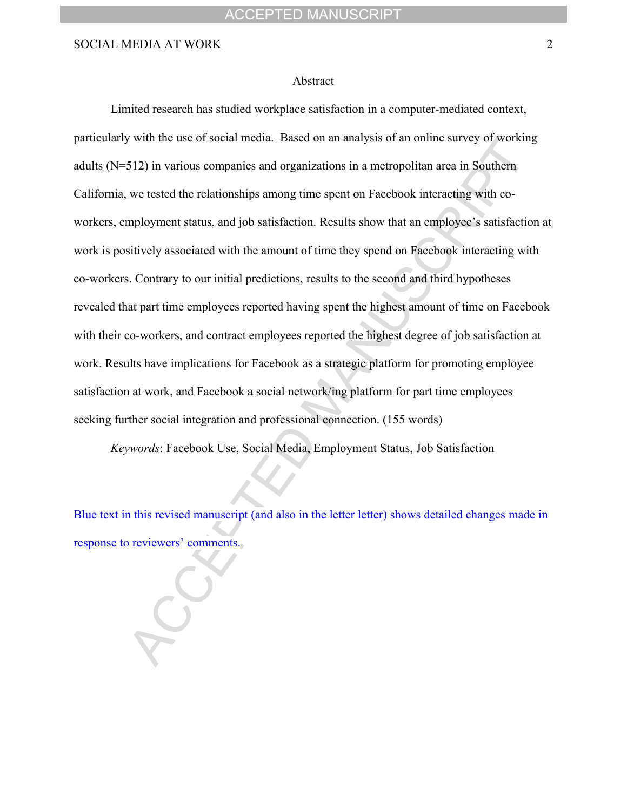#### Abstract

Limited research has studied workplace satisfaction in a computer-mediated context, particularly with the use of social media. Based on an analysis of an online survey of working adults (N=512) in various companies and organizations in a metropolitan area in Southern California, we tested the relationships among time spent on Facebook interacting with coworkers, employment status, and job satisfaction. Results show that an employee's satisfaction at work is positively associated with the amount of time they spend on Facebook interacting with co-workers. Contrary to our initial predictions, results to the second and third hypotheses revealed that part time employees reported having spent the highest amount of time on Facebook with their co-workers, and contract employees reported the highest degree of job satisfaction at work. Results have implications for Facebook as a strategic platform for promoting employee satisfaction at work, and Facebook a social network/ing platform for part time employees seeking further social integration and professional connection. (155 words)

*Keywords*: Facebook Use, Social Media, Employment Status, Job Satisfaction

Blue text in this revised manuscript (and also in the letter letter) shows detailed changes made in response to reviewers' comments.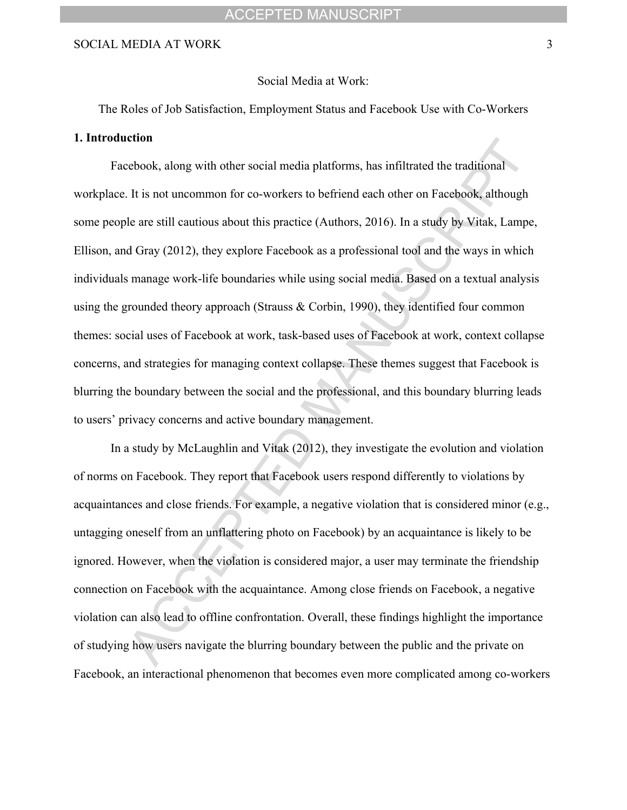#### Social Media at Work:

The Roles of Job Satisfaction, Employment Status and Facebook Use with Co-Workers

#### **1. Introduction**

Facebook, along with other social media platforms, has infiltrated the traditional workplace. It is not uncommon for co-workers to befriend each other on Facebook, although some people are still cautious about this practice (Authors, 2016). In a study by Vitak, Lampe, Ellison, and Gray (2012), they explore Facebook as a professional tool and the ways in which individuals manage work-life boundaries while using social media. Based on a textual analysis using the grounded theory approach (Strauss & Corbin, 1990), they identified four common themes: social uses of Facebook at work, task-based uses of Facebook at work, context collapse concerns, and strategies for managing context collapse. These themes suggest that Facebook is blurring the boundary between the social and the professional, and this boundary blurring leads to users' privacy concerns and active boundary management.

In a study by McLaughlin and Vitak (2012), they investigate the evolution and violation of norms on Facebook. They report that Facebook users respond differently to violations by acquaintances and close friends. For example, a negative violation that is considered minor (e.g., untagging oneself from an unflattering photo on Facebook) by an acquaintance is likely to be ignored. However, when the violation is considered major, a user may terminate the friendship connection on Facebook with the acquaintance. Among close friends on Facebook, a negative violation can also lead to offline confrontation. Overall, these findings highlight the importance of studying how users navigate the blurring boundary between the public and the private on Facebook, an interactional phenomenon that becomes even more complicated among co-workers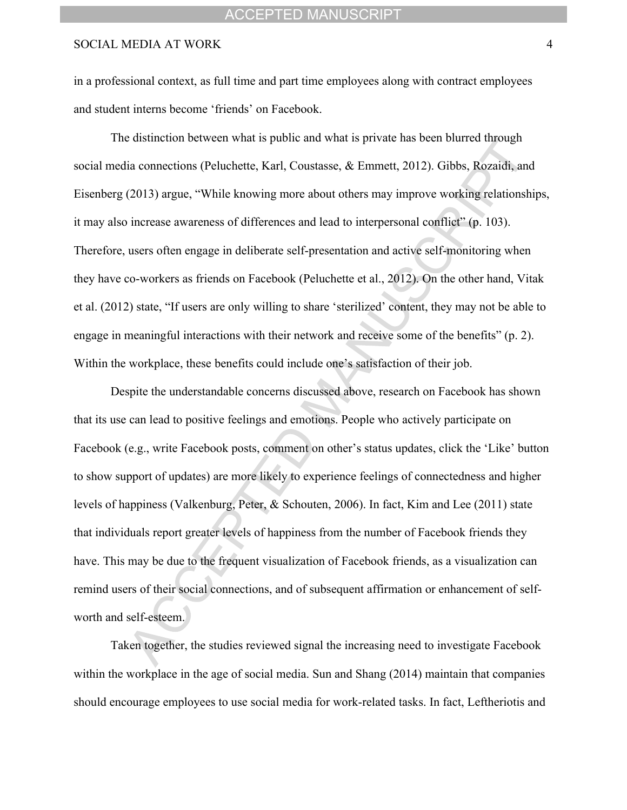in a professional context, as full time and part time employees along with contract employees and student interns become 'friends' on Facebook.

The distinction between what is public and what is private has been blurred through social media connections (Peluchette, Karl, Coustasse, & Emmett, 2012). Gibbs, Rozaidi, and Eisenberg (2013) argue, "While knowing more about others may improve working relationships, it may also increase awareness of differences and lead to interpersonal conflict" (p. 103). Therefore, users often engage in deliberate self-presentation and active self-monitoring when they have co-workers as friends on Facebook (Peluchette et al., 2012). On the other hand, Vitak et al. (2012) state, "If users are only willing to share 'sterilized' content, they may not be able to engage in meaningful interactions with their network and receive some of the benefits" (p. 2). Within the workplace, these benefits could include one's satisfaction of their job.

Despite the understandable concerns discussed above, research on Facebook has shown that its use can lead to positive feelings and emotions. People who actively participate on Facebook (e.g., write Facebook posts, comment on other's status updates, click the 'Like' button to show support of updates) are more likely to experience feelings of connectedness and higher levels of happiness (Valkenburg, Peter, & Schouten, 2006). In fact, Kim and Lee (2011) state that individuals report greater levels of happiness from the number of Facebook friends they have. This may be due to the frequent visualization of Facebook friends, as a visualization can remind users of their social connections, and of subsequent affirmation or enhancement of selfworth and self-esteem.

Taken together, the studies reviewed signal the increasing need to investigate Facebook within the workplace in the age of social media. Sun and Shang (2014) maintain that companies should encourage employees to use social media for work-related tasks. In fact, Leftheriotis and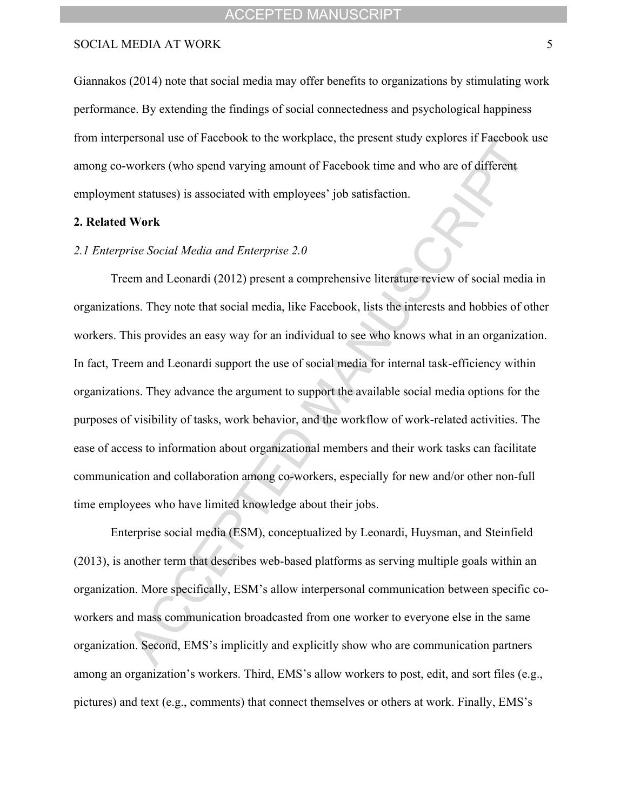Giannakos (2014) note that social media may offer benefits to organizations by stimulating work performance. By extending the findings of social connectedness and psychological happiness from interpersonal use of Facebook to the workplace, the present study explores if Facebook use among co-workers (who spend varying amount of Facebook time and who are of different employment statuses) is associated with employees' job satisfaction.

#### **2. Related Work**

#### *2.1 Enterprise Social Media and Enterprise 2.0*

Treem and Leonardi (2012) present a comprehensive literature review of social media in organizations. They note that social media, like Facebook, lists the interests and hobbies of other workers. This provides an easy way for an individual to see who knows what in an organization. In fact, Treem and Leonardi support the use of social media for internal task-efficiency within organizations. They advance the argument to support the available social media options for the purposes of visibility of tasks, work behavior, and the workflow of work-related activities. The ease of access to information about organizational members and their work tasks can facilitate communication and collaboration among co-workers, especially for new and/or other non-full time employees who have limited knowledge about their jobs.

Enterprise social media (ESM), conceptualized by Leonardi, Huysman, and Steinfield (2013), is another term that describes web-based platforms as serving multiple goals within an organization. More specifically, ESM's allow interpersonal communication between specific coworkers and mass communication broadcasted from one worker to everyone else in the same organization. Second, EMS's implicitly and explicitly show who are communication partners among an organization's workers. Third, EMS's allow workers to post, edit, and sort files (e.g., pictures) and text (e.g., comments) that connect themselves or others at work. Finally, EMS's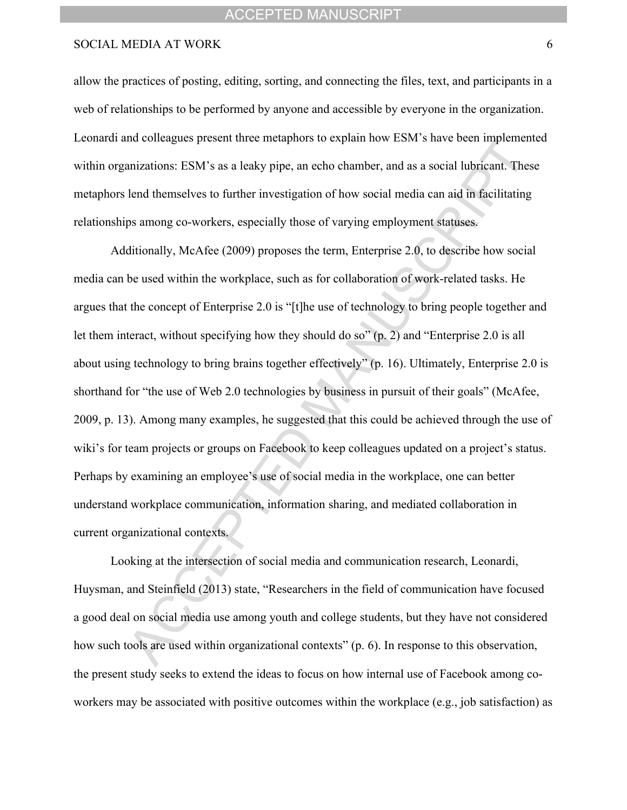allow the practices of posting, editing, sorting, and connecting the files, text, and participants in a web of relationships to be performed by anyone and accessible by everyone in the organization. Leonardi and colleagues present three metaphors to explain how ESM's have been implemented within organizations: ESM's as a leaky pipe, an echo chamber, and as a social lubricant. These metaphors lend themselves to further investigation of how social media can aid in facilitating relationships among co-workers, especially those of varying employment statuses.

Additionally, McAfee (2009) proposes the term, Enterprise 2.0, to describe how social media can be used within the workplace, such as for collaboration of work-related tasks. He argues that the concept of Enterprise 2.0 is "[t]he use of technology to bring people together and let them interact, without specifying how they should do so" (p. 2) and "Enterprise 2.0 is all about using technology to bring brains together effectively" (p. 16). Ultimately, Enterprise 2.0 is shorthand for "the use of Web 2.0 technologies by business in pursuit of their goals" (McAfee, 2009, p. 13). Among many examples, he suggested that this could be achieved through the use of wiki's for team projects or groups on Facebook to keep colleagues updated on a project's status. Perhaps by examining an employee's use of social media in the workplace, one can better understand workplace communication, information sharing, and mediated collaboration in current organizational contexts.

Looking at the intersection of social media and communication research, Leonardi, Huysman, and Steinfield (2013) state, "Researchers in the field of communication have focused a good deal on social media use among youth and college students, but they have not considered how such tools are used within organizational contexts" (p. 6). In response to this observation, the present study seeks to extend the ideas to focus on how internal use of Facebook among coworkers may be associated with positive outcomes within the workplace (e.g., job satisfaction) as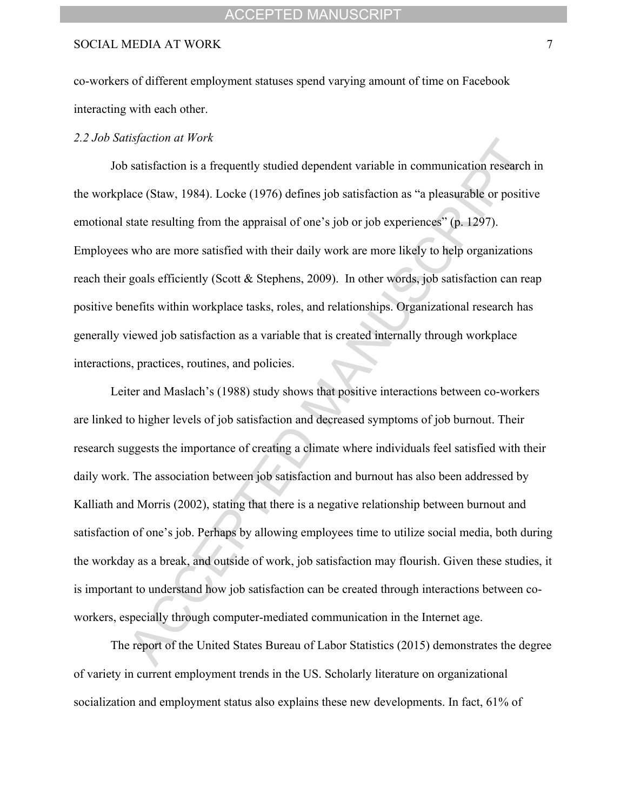#### ACCEPTED MANUSCRIPT

#### SOCIAL MEDIA AT WORK 7

co-workers of different employment statuses spend varying amount of time on Facebook interacting with each other.

#### *2.2 Job Satisfaction at Work*

Job satisfaction is a frequently studied dependent variable in communication research in the workplace (Staw, 1984). Locke (1976) defines job satisfaction as "a pleasurable or positive emotional state resulting from the appraisal of one's job or job experiences" (p. 1297). Employees who are more satisfied with their daily work are more likely to help organizations reach their goals efficiently (Scott & Stephens, 2009). In other words, job satisfaction can reap positive benefits within workplace tasks, roles, and relationships. Organizational research has generally viewed job satisfaction as a variable that is created internally through workplace interactions, practices, routines, and policies.

Leiter and Maslach's (1988) study shows that positive interactions between co-workers are linked to higher levels of job satisfaction and decreased symptoms of job burnout. Their research suggests the importance of creating a climate where individuals feel satisfied with their daily work. The association between job satisfaction and burnout has also been addressed by Kalliath and Morris (2002), stating that there is a negative relationship between burnout and satisfaction of one's job. Perhaps by allowing employees time to utilize social media, both during the workday as a break, and outside of work, job satisfaction may flourish. Given these studies, it is important to understand how job satisfaction can be created through interactions between coworkers, especially through computer-mediated communication in the Internet age.

The report of the United States Bureau of Labor Statistics (2015) demonstrates the degree of variety in current employment trends in the US. Scholarly literature on organizational socialization and employment status also explains these new developments. In fact, 61% of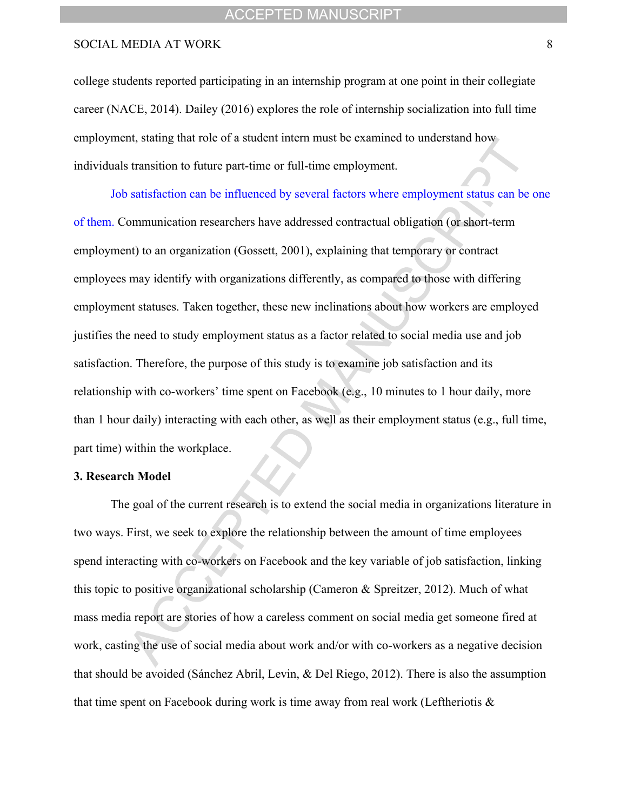college students reported participating in an internship program at one point in their collegiate career (NACE, 2014). Dailey (2016) explores the role of internship socialization into full time employment, stating that role of a student intern must be examined to understand how individuals transition to future part-time or full-time employment.

Job satisfaction can be influenced by several factors where employment status can be one of them. Communication researchers have addressed contractual obligation (or short-term employment) to an organization (Gossett, 2001), explaining that temporary or contract employees may identify with organizations differently, as compared to those with differing employment statuses. Taken together, these new inclinations about how workers are employed justifies the need to study employment status as a factor related to social media use and job satisfaction. Therefore, the purpose of this study is to examine job satisfaction and its relationship with co-workers' time spent on Facebook (e.g., 10 minutes to 1 hour daily, more than 1 hour daily) interacting with each other, as well as their employment status (e.g., full time, part time) within the workplace.

#### **3. Research Model**

The goal of the current research is to extend the social media in organizations literature in two ways. First, we seek to explore the relationship between the amount of time employees spend interacting with co-workers on Facebook and the key variable of job satisfaction, linking this topic to positive organizational scholarship (Cameron & Spreitzer, 2012). Much of what mass media report are stories of how a careless comment on social media get someone fired at work, casting the use of social media about work and/or with co-workers as a negative decision that should be avoided (Sánchez Abril, Levin, & Del Riego, 2012). There is also the assumption that time spent on Facebook during work is time away from real work (Leftheriotis &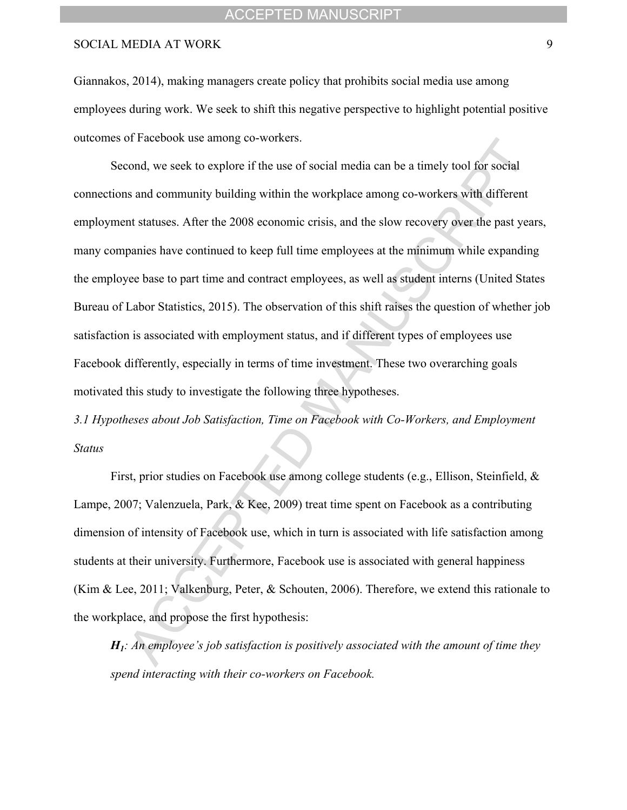#### ACCEPTED MANUSCRIPT

#### SOCIAL MEDIA AT WORK 9

Giannakos, 2014), making managers create policy that prohibits social media use among employees during work. We seek to shift this negative perspective to highlight potential positive outcomes of Facebook use among co-workers.

Second, we seek to explore if the use of social media can be a timely tool for social connections and community building within the workplace among co-workers with different employment statuses. After the 2008 economic crisis, and the slow recovery over the past years, many companies have continued to keep full time employees at the minimum while expanding the employee base to part time and contract employees, as well as student interns (United States Bureau of Labor Statistics, 2015). The observation of this shift raises the question of whether job satisfaction is associated with employment status, and if different types of employees use Facebook differently, especially in terms of time investment. These two overarching goals motivated this study to investigate the following three hypotheses.

*3.1 Hypotheses about Job Satisfaction, Time on Facebook with Co-Workers, and Employment Status*

First, prior studies on Facebook use among college students (e.g., Ellison, Steinfield, & Lampe, 2007; Valenzuela, Park, & Kee, 2009) treat time spent on Facebook as a contributing dimension of intensity of Facebook use, which in turn is associated with life satisfaction among students at their university. Furthermore, Facebook use is associated with general happiness (Kim & Lee, 2011; Valkenburg, Peter, & Schouten, 2006). Therefore, we extend this rationale to the workplace, and propose the first hypothesis:

*H1: An employee's job satisfaction is positively associated with the amount of time they spend interacting with their co-workers on Facebook.*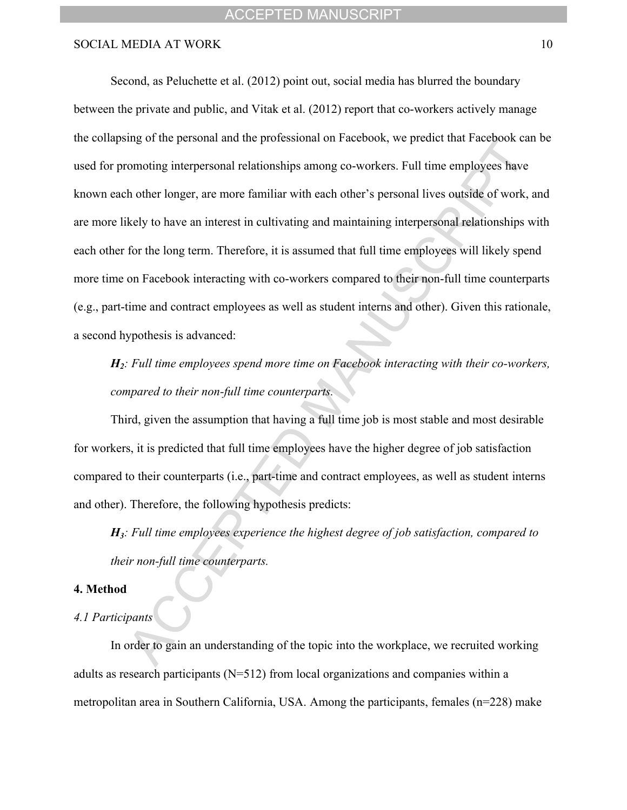#### ACCEPTED MANUSCRIPT

#### SOCIAL MEDIA AT WORK 10

Second, as Peluchette et al. (2012) point out, social media has blurred the boundary between the private and public, and Vitak et al. (2012) report that co-workers actively manage the collapsing of the personal and the professional on Facebook, we predict that Facebook can be used for promoting interpersonal relationships among co-workers. Full time employees have known each other longer, are more familiar with each other's personal lives outside of work, and are more likely to have an interest in cultivating and maintaining interpersonal relationships with each other for the long term. Therefore, it is assumed that full time employees will likely spend more time on Facebook interacting with co-workers compared to their non-full time counterparts (e.g., part-time and contract employees as well as student interns and other). Given this rationale, a second hypothesis is advanced:

*H2: Full time employees spend more time on Facebook interacting with their co-workers, compared to their non-full time counterparts.*

Third, given the assumption that having a full time job is most stable and most desirable for workers, it is predicted that full time employees have the higher degree of job satisfaction compared to their counterparts (i.e., part-time and contract employees, as well as student interns and other). Therefore, the following hypothesis predicts:

*H3: Full time employees experience the highest degree of job satisfaction, compared to their non-full time counterparts.*

#### **4. Method**

#### *4.1 Participants*

In order to gain an understanding of the topic into the workplace, we recruited working adults as research participants (N=512) from local organizations and companies within a metropolitan area in Southern California, USA. Among the participants, females (n=228) make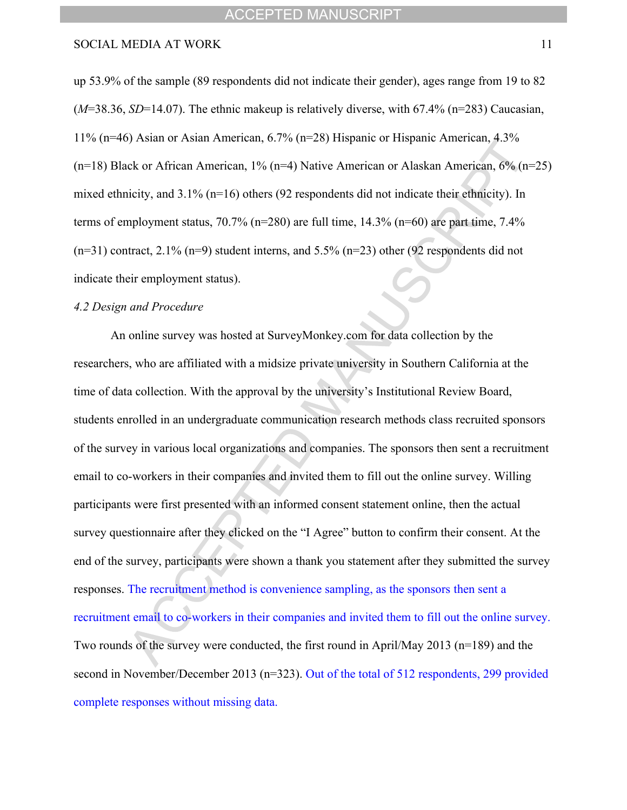up 53.9% of the sample (89 respondents did not indicate their gender), ages range from 19 to 82 (*M*=38.36, *SD*=14.07). The ethnic makeup is relatively diverse, with 67.4% (n=283) Caucasian, 11% (n=46) Asian or Asian American, 6.7% (n=28) Hispanic or Hispanic American, 4.3% (n=18) Black or African American, 1% (n=4) Native American or Alaskan American, 6% (n=25) mixed ethnicity, and 3.1% (n=16) others (92 respondents did not indicate their ethnicity). In terms of employment status,  $70.7\%$  (n=280) are full time,  $14.3\%$  (n=60) are part time,  $7.4\%$  $(n=31)$  contract, 2.1%  $(n=9)$  student interns, and 5.5%  $(n=23)$  other (92 respondents did not indicate their employment status).

#### *4.2 Design and Procedure*

An online survey was hosted at SurveyMonkey.com for data collection by the researchers, who are affiliated with a midsize private university in Southern California at the time of data collection. With the approval by the university's Institutional Review Board, students enrolled in an undergraduate communication research methods class recruited sponsors of the survey in various local organizations and companies. The sponsors then sent a recruitment email to co-workers in their companies and invited them to fill out the online survey. Willing participants were first presented with an informed consent statement online, then the actual survey questionnaire after they clicked on the "I Agree" button to confirm their consent. At the end of the survey, participants were shown a thank you statement after they submitted the survey responses. The recruitment method is convenience sampling, as the sponsors then sent a recruitment email to co-workers in their companies and invited them to fill out the online survey. Two rounds of the survey were conducted, the first round in April/May 2013 (n=189) and the second in November/December 2013 (n=323). Out of the total of 512 respondents, 299 provided complete responses without missing data.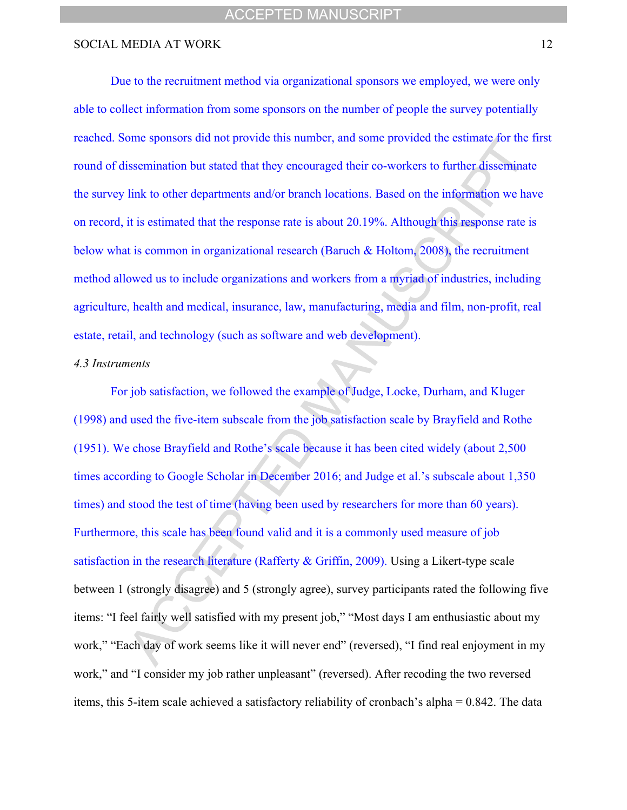Due to the recruitment method via organizational sponsors we employed, we were only able to collect information from some sponsors on the number of people the survey potentially reached. Some sponsors did not provide this number, and some provided the estimate for the first round of dissemination but stated that they encouraged their co-workers to further disseminate the survey link to other departments and/or branch locations. Based on the information we have on record, it is estimated that the response rate is about 20.19%. Although this response rate is below what is common in organizational research (Baruch & Holtom, 2008), the recruitment method allowed us to include organizations and workers from a myriad of industries, including agriculture, health and medical, insurance, law, manufacturing, media and film, non-profit, real estate, retail, and technology (such as software and web development).

#### *4.3 Instruments*

For job satisfaction, we followed the example of Judge, Locke, Durham, and Kluger (1998) and used the five-item subscale from the job satisfaction scale by Brayfield and Rothe (1951). We chose Brayfield and Rothe's scale because it has been cited widely (about 2,500 times according to Google Scholar in December 2016; and Judge et al.'s subscale about 1,350 times) and stood the test of time (having been used by researchers for more than 60 years). Furthermore, this scale has been found valid and it is a commonly used measure of job satisfaction in the research literature (Rafferty & Griffin, 2009). Using a Likert-type scale between 1 (strongly disagree) and 5 (strongly agree), survey participants rated the following five items: "I feel fairly well satisfied with my present job," "Most days I am enthusiastic about my work," "Each day of work seems like it will never end" (reversed), "I find real enjoyment in my work," and "I consider my job rather unpleasant" (reversed). After recoding the two reversed items, this 5-item scale achieved a satisfactory reliability of cronbach's alpha = 0.842. The data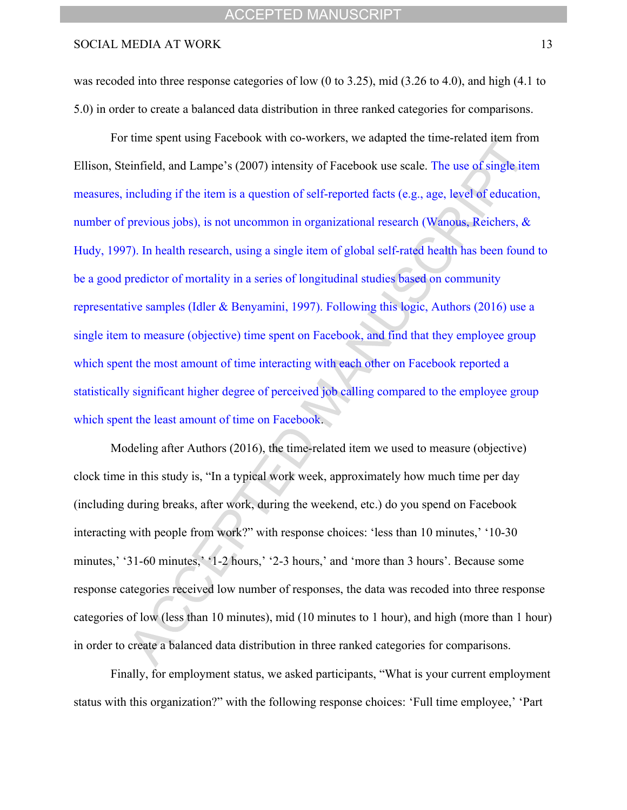was recoded into three response categories of low (0 to 3.25), mid (3.26 to 4.0), and high (4.1 to 5.0) in order to create a balanced data distribution in three ranked categories for comparisons.

For time spent using Facebook with co-workers, we adapted the time-related item from Ellison, Steinfield, and Lampe's (2007) intensity of Facebook use scale. The use of single item measures, including if the item is a question of self-reported facts (e.g., age, level of education, number of previous jobs), is not uncommon in organizational research (Wanous, Reichers, & Hudy, 1997). In health research, using a single item of global self-rated health has been found to be a good predictor of mortality in a series of longitudinal studies based on community representative samples (Idler & Benyamini, 1997). Following this logic, Authors (2016) use a single item to measure (objective) time spent on Facebook, and find that they employee group which spent the most amount of time interacting with each other on Facebook reported a statistically significant higher degree of perceived job calling compared to the employee group which spent the least amount of time on Facebook.

Modeling after Authors (2016), the time-related item we used to measure (objective) clock time in this study is, "In a typical work week, approximately how much time per day (including during breaks, after work, during the weekend, etc.) do you spend on Facebook interacting with people from work?" with response choices: 'less than 10 minutes,' '10-30 minutes,' '31-60 minutes,' '1-2 hours,' '2-3 hours,' and 'more than 3 hours'. Because some response categories received low number of responses, the data was recoded into three response categories of low (less than 10 minutes), mid (10 minutes to 1 hour), and high (more than 1 hour) in order to create a balanced data distribution in three ranked categories for comparisons.

Finally, for employment status, we asked participants, "What is your current employment status with this organization?" with the following response choices: 'Full time employee,' 'Part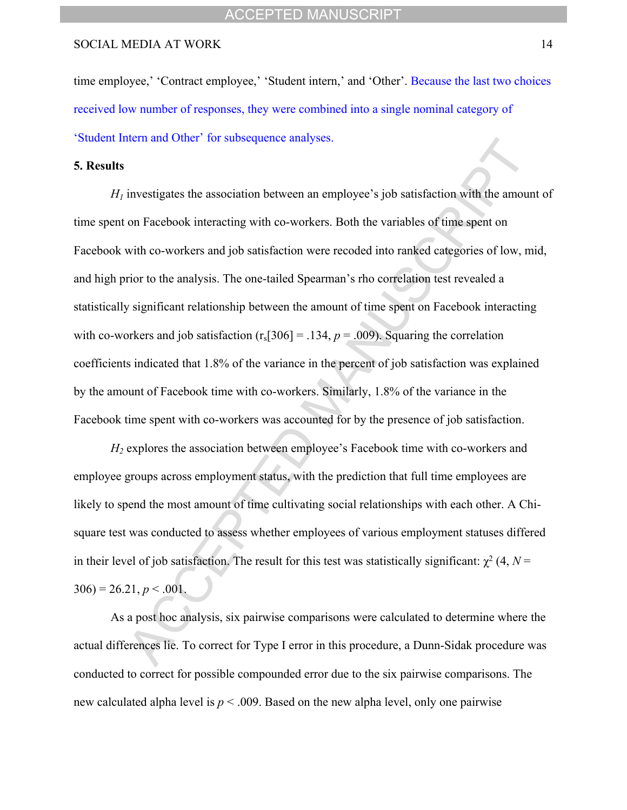time employee,' 'Contract employee,' 'Student intern,' and 'Other'. Because the last two choices received low number of responses, they were combined into a single nominal category of 'Student Intern and Other' for subsequence analyses.

#### **5. Results**

 $H<sub>1</sub>$  investigates the association between an employee's job satisfaction with the amount of time spent on Facebook interacting with co-workers. Both the variables of time spent on Facebook with co-workers and job satisfaction were recoded into ranked categories of low, mid, and high prior to the analysis. The one-tailed Spearman's rho correlation test revealed a statistically significant relationship between the amount of time spent on Facebook interacting with co-workers and job satisfaction  $(r_s[306] = .134, p = .009)$ . Squaring the correlation coefficients indicated that 1.8% of the variance in the percent of job satisfaction was explained by the amount of Facebook time with co-workers. Similarly, 1.8% of the variance in the Facebook time spent with co-workers was accounted for by the presence of job satisfaction.

*H<sup>2</sup>* explores the association between employee's Facebook time with co-workers and employee groups across employment status, with the prediction that full time employees are likely to spend the most amount of time cultivating social relationships with each other. A Chisquare test was conducted to assess whether employees of various employment statuses differed in their level of job satisfaction. The result for this test was statistically significant:  $\chi^2$  (4, N =  $306$ ) = 26.21, *p* < .001.

As a post hoc analysis, six pairwise comparisons were calculated to determine where the actual differences lie. To correct for Type I error in this procedure, a Dunn-Sidak procedure was conducted to correct for possible compounded error due to the six pairwise comparisons. The new calculated alpha level is  $p < .009$ . Based on the new alpha level, only one pairwise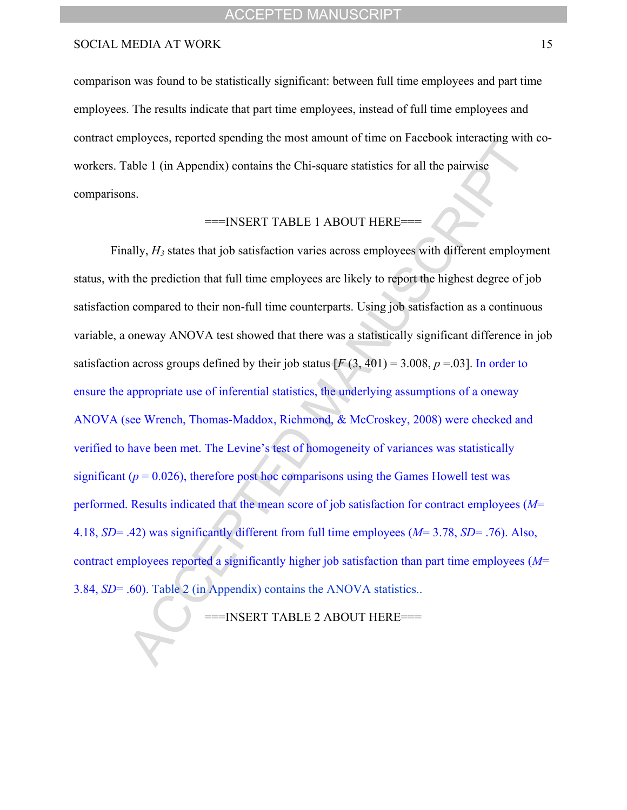comparison was found to be statistically significant: between full time employees and part time employees. The results indicate that part time employees, instead of full time employees and contract employees, reported spending the most amount of time on Facebook interacting with coworkers. Table 1 (in Appendix) contains the Chi-square statistics for all the pairwise comparisons.

# ===INSERT TABLE 1 ABOUT HERE===

Finally,  $H_3$  states that job satisfaction varies across employees with different employment status, with the prediction that full time employees are likely to report the highest degree of job satisfaction compared to their non-full time counterparts. Using job satisfaction as a continuous variable, a oneway ANOVA test showed that there was a statistically significant difference in job satisfaction across groups defined by their job status  $[F(3, 401) = 3.008, p = .03]$ . In order to ensure the appropriate use of inferential statistics, the underlying assumptions of a oneway ANOVA (see Wrench, Thomas-Maddox, Richmond, & McCroskey, 2008) were checked and verified to have been met. The Levine's test of homogeneity of variances was statistically significant ( $p = 0.026$ ), therefore post hoc comparisons using the Games Howell test was performed. Results indicated that the mean score of job satisfaction for contract employees (*M*= 4.18, *SD*= .42) was significantly different from full time employees (*M*= 3.78, *SD*= .76). Also, contract employees reported a significantly higher job satisfaction than part time employees (*M*= 3.84, *SD*= .60). Table 2 (in Appendix) contains the ANOVA statistics..

===INSERT TABLE 2 ABOUT HERE===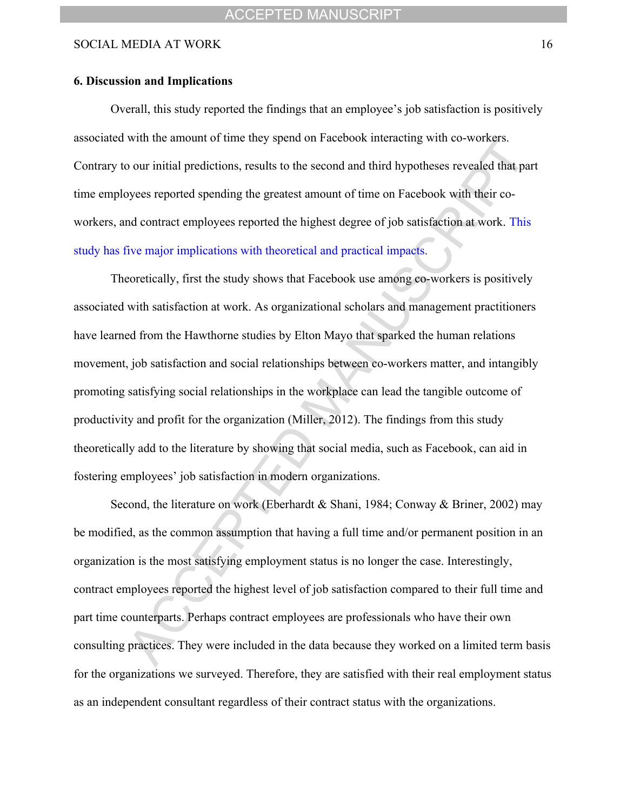#### **6. Discussion and Implications**

Overall, this study reported the findings that an employee's job satisfaction is positively associated with the amount of time they spend on Facebook interacting with co-workers. Contrary to our initial predictions, results to the second and third hypotheses revealed that part time employees reported spending the greatest amount of time on Facebook with their coworkers, and contract employees reported the highest degree of job satisfaction at work. This study has five major implications with theoretical and practical impacts.

Theoretically, first the study shows that Facebook use among co-workers is positively associated with satisfaction at work. As organizational scholars and management practitioners have learned from the Hawthorne studies by Elton Mayo that sparked the human relations movement, job satisfaction and social relationships between co-workers matter, and intangibly promoting satisfying social relationships in the workplace can lead the tangible outcome of productivity and profit for the organization (Miller, 2012). The findings from this study theoretically add to the literature by showing that social media, such as Facebook, can aid in fostering employees' job satisfaction in modern organizations.

Second, the literature on work (Eberhardt & Shani, 1984; Conway & Briner, 2002) may be modified, as the common assumption that having a full time and/or permanent position in an organization is the most satisfying employment status is no longer the case. Interestingly, contract employees reported the highest level of job satisfaction compared to their full time and part time counterparts. Perhaps contract employees are professionals who have their own consulting practices. They were included in the data because they worked on a limited term basis for the organizations we surveyed. Therefore, they are satisfied with their real employment status as an independent consultant regardless of their contract status with the organizations.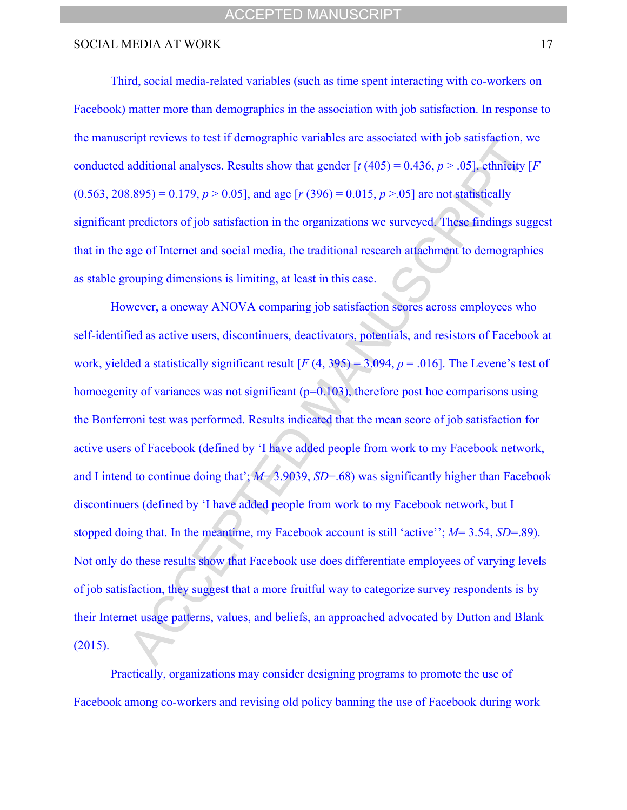Third, social media-related variables (such as time spent interacting with co-workers on Facebook) matter more than demographics in the association with job satisfaction. In response to the manuscript reviews to test if demographic variables are associated with job satisfaction, we conducted additional analyses. Results show that gender  $\lceil t (405) = 0.436, p > .05 \rceil$ , ethnicity  $\lceil F \rceil$  $(0.563, 208.895) = 0.179$ ,  $p > 0.05$ , and age  $[r (396) = 0.015, p > 0.05]$  are not statistically significant predictors of job satisfaction in the organizations we surveyed. These findings suggest that in the age of Internet and social media, the traditional research attachment to demographics as stable grouping dimensions is limiting, at least in this case.

However, a oneway ANOVA comparing job satisfaction scores across employees who self-identified as active users, discontinuers, deactivators, potentials, and resistors of Facebook at work, yielded a statistically significant result  $[F(4, 395) = 3.094, p = .016]$ . The Levene's test of homoegenity of variances was not significant  $(p=0.103)$ , therefore post hoc comparisons using the Bonferroni test was performed. Results indicated that the mean score of job satisfaction for active users of Facebook (defined by 'I have added people from work to my Facebook network, and I intend to continue doing that'; *M*= 3.9039, *SD*=.68) was significantly higher than Facebook discontinuers (defined by 'I have added people from work to my Facebook network, but I stopped doing that. In the meantime, my Facebook account is still 'active''; *M*= 3.54, *SD*=.89). Not only do these results show that Facebook use does differentiate employees of varying levels of job satisfaction, they suggest that a more fruitful way to categorize survey respondents is by their Internet usage patterns, values, and beliefs, an approached advocated by Dutton and Blank (2015).

Practically, organizations may consider designing programs to promote the use of Facebook among co-workers and revising old policy banning the use of Facebook during work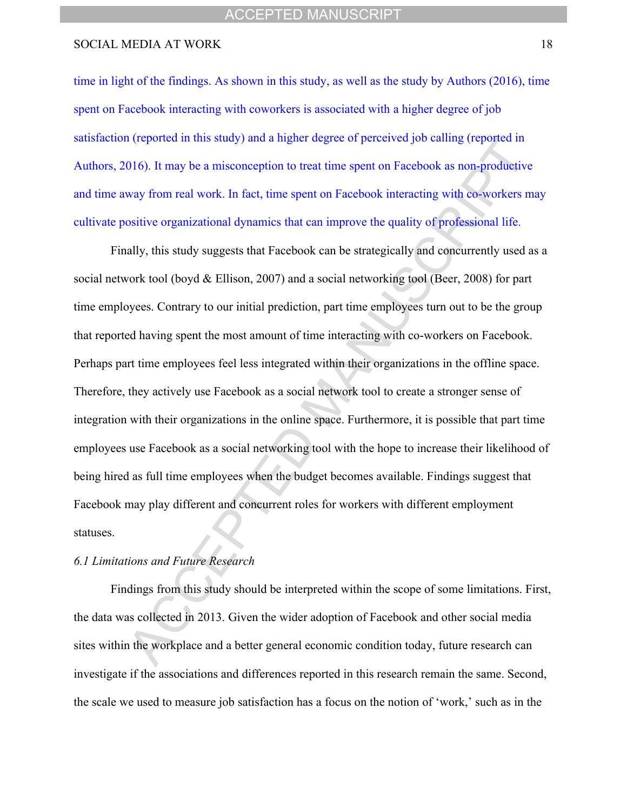time in light of the findings. As shown in this study, as well as the study by Authors (2016), time spent on Facebook interacting with coworkers is associated with a higher degree of job satisfaction (reported in this study) and a higher degree of perceived job calling (reported in Authors, 2016). It may be a misconception to treat time spent on Facebook as non-productive and time away from real work. In fact, time spent on Facebook interacting with co-workers may cultivate positive organizational dynamics that can improve the quality of professional life.

Finally, this study suggests that Facebook can be strategically and concurrently used as a social network tool (boyd & Ellison, 2007) and a social networking tool (Beer, 2008) for part time employees. Contrary to our initial prediction, part time employees turn out to be the group that reported having spent the most amount of time interacting with co-workers on Facebook. Perhaps part time employees feel less integrated within their organizations in the offline space. Therefore, they actively use Facebook as a social network tool to create a stronger sense of integration with their organizations in the online space. Furthermore, it is possible that part time employees use Facebook as a social networking tool with the hope to increase their likelihood of being hired as full time employees when the budget becomes available. Findings suggest that Facebook may play different and concurrent roles for workers with different employment statuses.

#### *6.1 Limitations and Future Research*

Findings from this study should be interpreted within the scope of some limitations. First, the data was collected in 2013. Given the wider adoption of Facebook and other social media sites within the workplace and a better general economic condition today, future research can investigate if the associations and differences reported in this research remain the same. Second, the scale we used to measure job satisfaction has a focus on the notion of 'work,' such as in the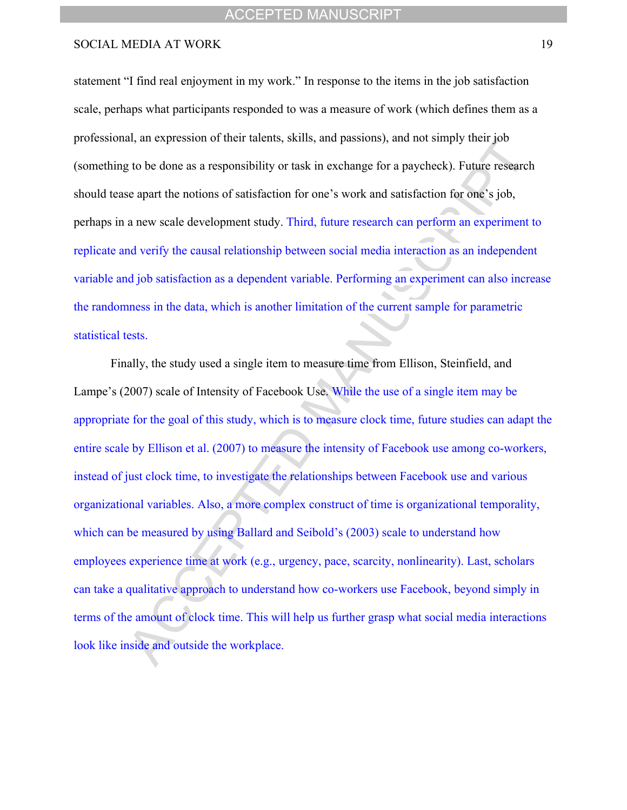statement "I find real enjoyment in my work." In response to the items in the job satisfaction scale, perhaps what participants responded to was a measure of work (which defines them as a professional, an expression of their talents, skills, and passions), and not simply their job (something to be done as a responsibility or task in exchange for a paycheck). Future research should tease apart the notions of satisfaction for one's work and satisfaction for one's job, perhaps in a new scale development study. Third, future research can perform an experiment to replicate and verify the causal relationship between social media interaction as an independent variable and job satisfaction as a dependent variable. Performing an experiment can also increase the randomness in the data, which is another limitation of the current sample for parametric statistical tests.

Finally, the study used a single item to measure time from Ellison, Steinfield, and Lampe's (2007) scale of Intensity of Facebook Use. While the use of a single item may be appropriate for the goal of this study, which is to measure clock time, future studies can adapt the entire scale by Ellison et al. (2007) to measure the intensity of Facebook use among co-workers, instead of just clock time, to investigate the relationships between Facebook use and various organizational variables. Also, a more complex construct of time is organizational temporality, which can be measured by using Ballard and Seibold's (2003) scale to understand how employees experience time at work (e.g., urgency, pace, scarcity, nonlinearity). Last, scholars can take a qualitative approach to understand how co-workers use Facebook, beyond simply in terms of the amount of clock time. This will help us further grasp what social media interactions look like inside and outside the workplace.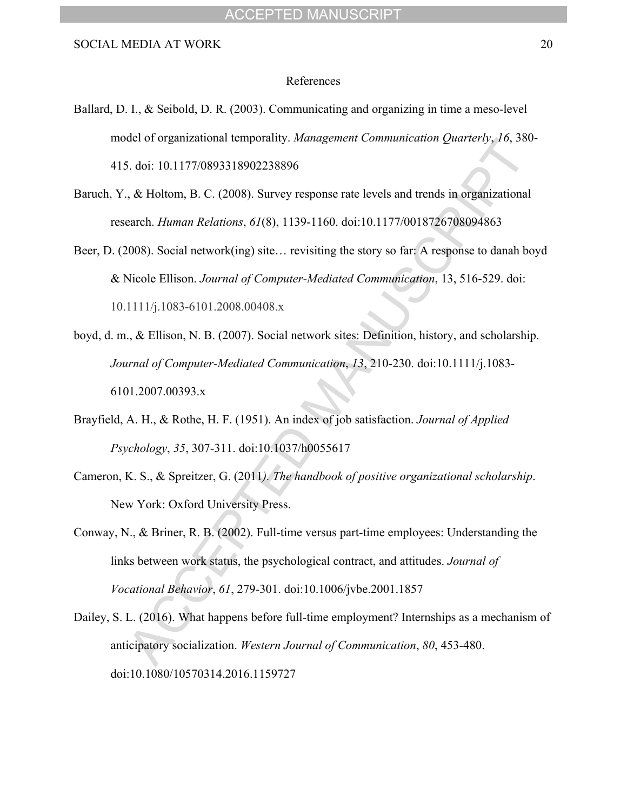#### References

- Ballard, D. I., & Seibold, D. R. (2003). Communicating and organizing in time a meso-level model of organizational temporality. *Management Communication Quarterly*, *16*, 380- 415. doi: 10.1177/0893318902238896
- Baruch, Y., & Holtom, B. C. (2008). Survey response rate levels and trends in organizational research. *Human Relations*, *61*(8), 1139-1160. doi:10.1177/0018726708094863
- Beer, D. (2008). Social network(ing) site… revisiting the story so far: A response to danah boyd & Nicole Ellison. *Journal of Computer-Mediated Communication*, 13, 516-529. doi: 10.1111/j.1083-6101.2008.00408.x
- boyd, d. m., & Ellison, N. B. (2007). Social network sites: Definition, history, and scholarship. *Journal of Computer-Mediated Communication*, *13*, 210-230. doi:10.1111/j.1083- 6101.2007.00393.x
- Brayfield, A. H., & Rothe, H. F. (1951). An index of job satisfaction. *Journal of Applied Psychology*, *35*, 307-311. doi:10.1037/h0055617
- Cameron, K. S., & Spreitzer, G. (2011*). The handbook of positive organizational scholarship*. New York: Oxford University Press.
- Conway, N., & Briner, R. B. (2002). Full-time versus part-time employees: Understanding the links between work status, the psychological contract, and attitudes. *Journal of Vocational Behavior*, *61*, 279-301. doi:10.1006/jvbe.2001.1857
- Dailey, S. L. (2016). What happens before full-time employment? Internships as a mechanism of anticipatory socialization. *Western Journal of Communication*, *80*, 453-480. doi:10.1080/10570314.2016.1159727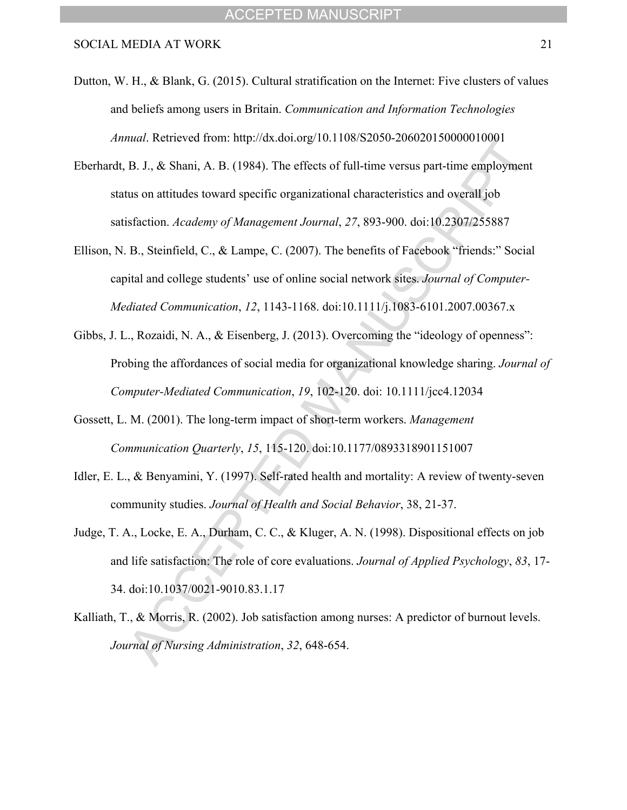- Dutton, W. H., & Blank, G. (2015). Cultural stratification on the Internet: Five clusters of values and beliefs among users in Britain. *Communication and Information Technologies Annual*. Retrieved from: http://dx.doi.org/10.1108/S2050-206020150000010001
- Eberhardt, B. J., & Shani, A. B. (1984). The effects of full-time versus part-time employment status on attitudes toward specific organizational characteristics and overall job satisfaction. *Academy of Management Journal*, *27*, 893-900. doi:10.2307/255887
- Ellison, N. B., Steinfield, C., & Lampe, C. (2007). The benefits of Facebook "friends:" Social capital and college students' use of online social network sites. *Journal of Computer-Mediated Communication*, *12*, 1143-1168. doi:10.1111/j.1083-6101.2007.00367.x
- Gibbs, J. L., Rozaidi, N. A., & Eisenberg, J. (2013). Overcoming the "ideology of openness": Probing the affordances of social media for organizational knowledge sharing. *Journal of Computer-Mediated Communication*, *19*, 102-120. doi: 10.1111/jcc4.12034
- Gossett, L. M. (2001). The long-term impact of short-term workers. *Management Communication Quarterly*, *15*, 115-120. doi:10.1177/0893318901151007
- Idler, E. L., & Benyamini, Y. (1997). Self-rated health and mortality: A review of twenty-seven community studies. *Journal of Health and Social Behavior*, 38, 21-37.
- Judge, T. A., Locke, E. A., Durham, C. C., & Kluger, A. N. (1998). Dispositional effects on job and life satisfaction: The role of core evaluations. *Journal of Applied Psychology*, *83*, 17- 34. doi:10.1037/0021-9010.83.1.17
- Kalliath, T., & Morris, R. (2002). Job satisfaction among nurses: A predictor of burnout levels. *Journal of Nursing Administration*, *32*, 648-654.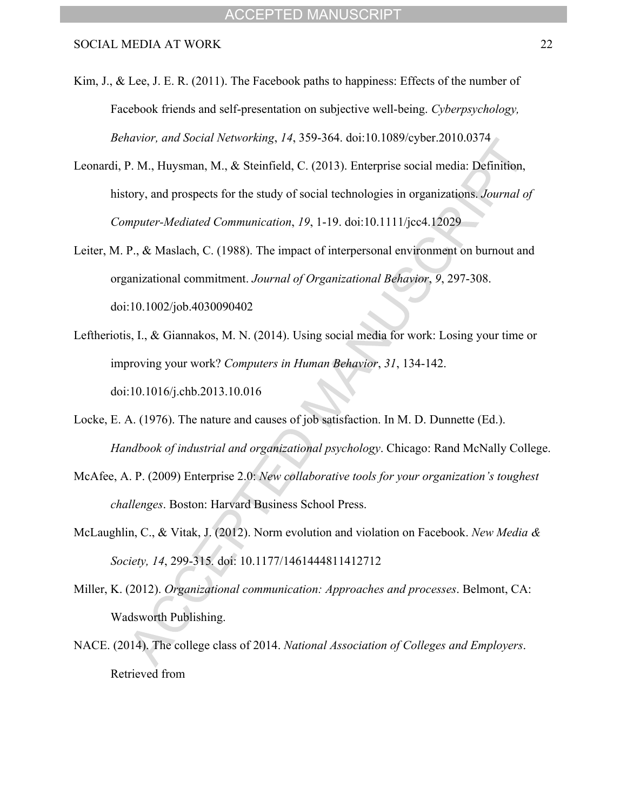Kim, J., & Lee, J. E. R. (2011). The Facebook paths to happiness: Effects of the number of Facebook friends and self-presentation on subjective well-being. *Cyberpsychology, Behavior, and Social Networking*, *14*, 359-364. doi:10.1089/cyber.2010.0374

- Leonardi, P. M., Huysman, M., & Steinfield, C. (2013). Enterprise social media: Definition, history, and prospects for the study of social technologies in organizations. *Journal of Computer-Mediated Communication*, *19*, 1-19. doi:10.1111/jcc4.12029
- Leiter, M. P., & Maslach, C. (1988). The impact of interpersonal environment on burnout and organizational commitment. *Journal of Organizational Behavior*, *9*, 297-308. doi:10.1002/job.4030090402
- Leftheriotis, I., & Giannakos, M. N. (2014). Using social media for work: Losing your time or improving your work? *Computers in Human Behavior*, *31*, 134-142. doi:10.1016/j.chb.2013.10.016
- Locke, E. A. (1976). The nature and causes of job satisfaction. In M. D. Dunnette (Ed.). *Handbook of industrial and organizational psychology*. Chicago: Rand McNally College.
- McAfee, A. P. (2009) Enterprise 2.0: *New collaborative tools for your organization's toughest challenges*. Boston: Harvard Business School Press.
- McLaughlin, C., & Vitak, J. (2012). Norm evolution and violation on Facebook. *New Media & Society, 14*, 299-315*.* doi: 10.1177/1461444811412712
- Miller, K. (2012). *Organizational communication: Approaches and processes*. Belmont, CA: Wadsworth Publishing.
- NACE. (2014). The college class of 2014. *National Association of Colleges and Employers*. Retrieved from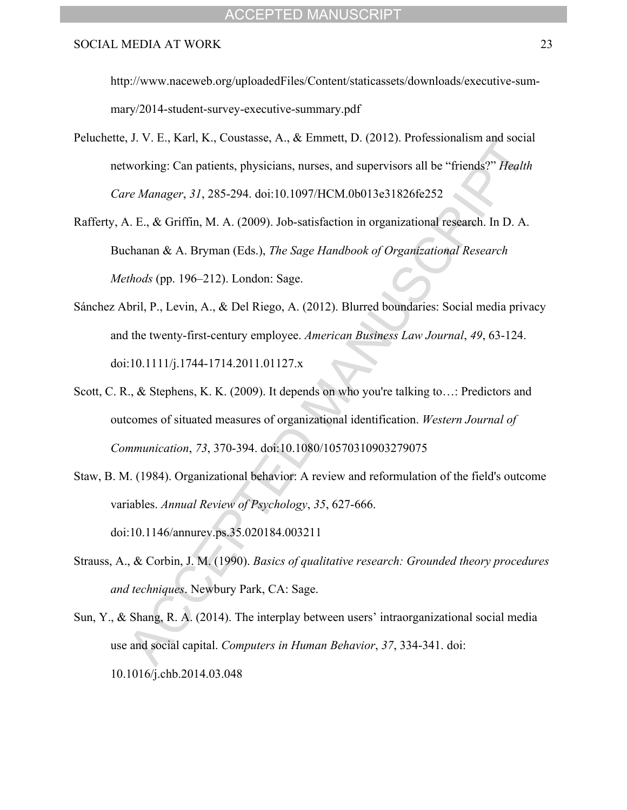#### ACCEPTED MANUSCRIPT

#### SOCIAL MEDIA AT WORK 23

http://www.naceweb.org/uploadedFiles/Content/staticassets/downloads/executive-summary/2014-student-survey-executive-summary.pdf

- Peluchette, J. V. E., Karl, K., Coustasse, A., & Emmett, D. (2012). Professionalism and social networking: Can patients, physicians, nurses, and supervisors all be "friends?" *Health Care Manager*, *31*, 285-294. doi:10.1097/HCM.0b013e31826fe252
- Rafferty, A. E., & Griffin, M. A. (2009). Job-satisfaction in organizational research. In D. A. Buchanan & A. Bryman (Eds.), *The Sage Handbook of Organizational Research Methods* (pp. 196–212). London: Sage.
- Sánchez Abril, P., Levin, A., & Del Riego, A. (2012). Blurred boundaries: Social media privacy and the twenty-first-century employee. *American Business Law Journal*, *49*, 63-124. doi:10.1111/j.1744-1714.2011.01127.x
- Scott, C. R., & Stephens, K. K. (2009). It depends on who you're talking to...: Predictors and outcomes of situated measures of organizational identification. *Western Journal of Communication*, *73*, 370-394. doi:10.1080/10570310903279075
- Staw, B. M. (1984). Organizational behavior: A review and reformulation of the field's outcome variables. *Annual Review of Psychology*, *35*, 627-666. doi:10.1146/annurev.ps.35.020184.003211
- Strauss, A., & Corbin, J. M. (1990). *Basics of qualitative research: Grounded theory procedures and techniques*. Newbury Park, CA: Sage.
- Sun, Y., & Shang, R. A. (2014). The interplay between users' intraorganizational social media use and social capital. *Computers in Human Behavior*, *37*, 334-341. doi: 10.1016/j.chb.2014.03.048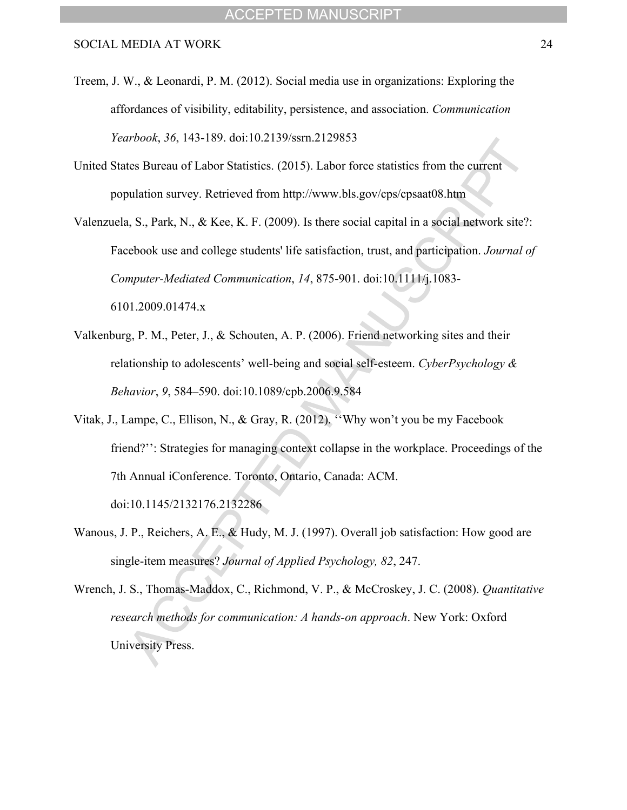Treem, J. W., & Leonardi, P. M. (2012). Social media use in organizations: Exploring the affordances of visibility, editability, persistence, and association. *Communication Yearbook*, *36*, 143-189. doi:10.2139/ssrn.2129853

United States Bureau of Labor Statistics. (2015). Labor force statistics from the current population survey. Retrieved from http://www.bls.gov/cps/cpsaat08.htm

Valenzuela, S., Park, N., & Kee, K. F. (2009). Is there social capital in a social network site?: Facebook use and college students' life satisfaction, trust, and participation. *Journal of Computer-Mediated Communication*, *14*, 875-901. doi:10.1111/j.1083- 6101.2009.01474.x

- Valkenburg, P. M., Peter, J., & Schouten, A. P. (2006). Friend networking sites and their relationship to adolescents' well-being and social self-esteem. *CyberPsychology & Behavior*, *9*, 584–590. doi:10.1089/cpb.2006.9.584
- Vitak, J., Lampe, C., Ellison, N., & Gray, R. (2012). ''Why won't you be my Facebook friend?": Strategies for managing context collapse in the workplace. Proceedings of the 7th Annual iConference. Toronto, Ontario, Canada: ACM. doi:10.1145/2132176.2132286
- Wanous, J. P., Reichers, A. E., & Hudy, M. J. (1997). Overall job satisfaction: How good are single-item measures? *Journal of Applied Psychology, 82*, 247.

Wrench, J. S., Thomas-Maddox, C., Richmond, V. P., & McCroskey, J. C. (2008). *Quantitative research methods for communication: A hands-on approach*. New York: Oxford University Press.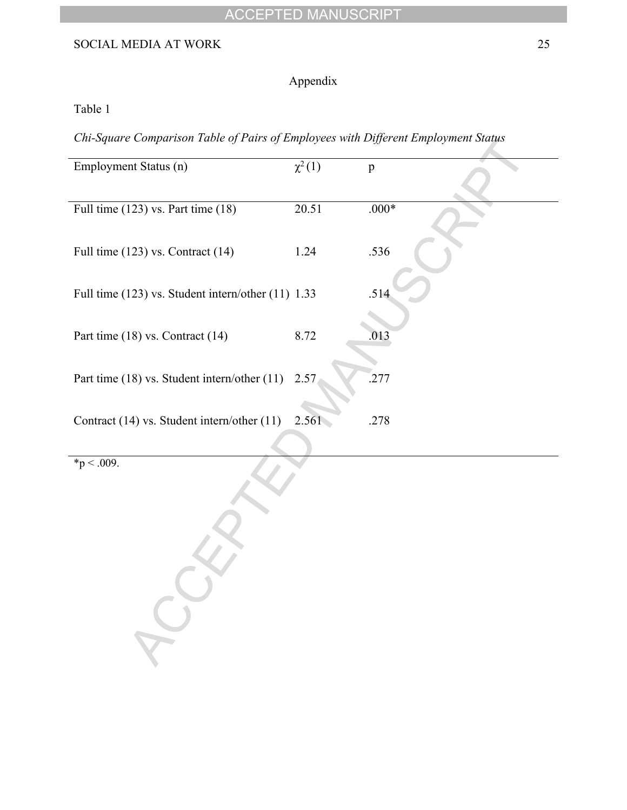# ACCEPTED MANUSCRIPT

# SOCIAL MEDIA AT WORK 25

# Appendix

Table 1

*Chi-Square Comparison Table of Pairs of Employees with Different Employment Status*

| Employment Status (n)                              | $\overline{\chi^2(1)}$ | $\mathbf{p}$ |
|----------------------------------------------------|------------------------|--------------|
| Full time $(123)$ vs. Part time $(18)$             | $\overline{20.51}$     | $.000*$      |
| Full time (123) vs. Contract (14)                  | 1.24                   | .536         |
| Full time (123) vs. Student intern/other (11) 1.33 |                        | .514         |
| Part time (18) vs. Contract (14)                   | 8.72                   | .013         |
| Part time (18) vs. Student intern/other (11)       | 2.57                   | .277         |
| Contract (14) vs. Student intern/other (11)        | 2.561                  | .278         |
| $\sqrt[p]{p} < .009$ .                             |                        |              |